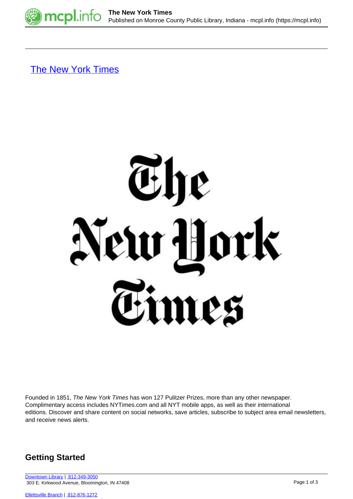

[The New York Times](https://mcpl.info/resources/new-york-times)



Founded in 1851, The New York Times has won 127 Pulitzer Prizes, more than any other newspaper. Complimentary access includes NYTimes.com and all NYT mobile apps, as well as their international editions. Discover and share content on social networks, save articles, subscribe to subject area email newsletters, and receive news alerts.

## **Getting Started**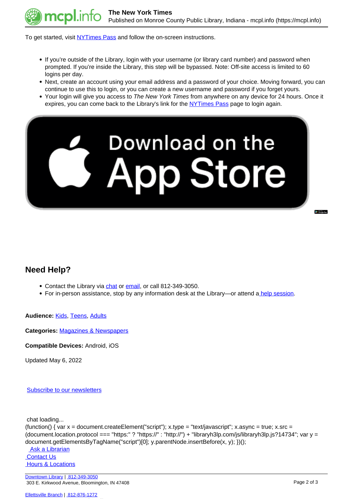

To get started, visit [NYTimes Pass](https://ezproxy.monroe.lib.in.us/login?qurl=https%3A%2F%2Fezmyaccount.nytimes.com%2Fcorpgrouppass%2Fredir) and follow the on-screen instructions.

- If you're outside of the Library, login with your username (or library card number) and password when prompted. If you're inside the Library, this step will be bypassed. Note: Off-site access is limited to 60 logins per day.
- Next, create an account using your email address and a password of your choice. Moving forward, you can continue to use this to login, or you can create a new username and password if you forget yours.
- Your login will give you access to The New York Times from anywhere on any device for 24 hours. Once it expires, you can come back to the Library's link for the [NYTimes Pass](https://ezproxy.monroe.lib.in.us/login?qurl=https%3A%2F%2Fezmyaccount.nytimes.com%2Fcorpgrouppass%2Fredir) page to login again.



## **Need Help?**

- Contact the Library via [chat](http://mcpl.info/chat) or [email,](http://mcpl.info/adultservices/ask-librarian-monroe-county-public-library) or call 812-349-3050.
- For in-person assistance, stop by any information desk at the Library—or attend [a help session.](https://mcpl.info/infosys/free-help-your-laptops-and-gadgets)

**Audience:** [Kids](https://mcpl.info/audience/kids), [Teens](https://mcpl.info/audience/teens), [Adults](https://mcpl.info/audience/adults)

**Categories:** [Magazines & Newspapers](https://mcpl.info/emagazines)

**Compatible Devices:** Android, iOS

Updated May 6, 2022

[Subscribe to our newsletters](https://mcpl.info/geninfo/subscribe-think-library-newsletter)

chat loading...

```
(function() { var x = document.createElement("script"); x.type = "text/javascript"; x.async = true; x.src =(document.location.protocol === "https:" ? "https://" : "http://") + "libraryh3lp.com/js/libraryh3lp.js?14734"; var y =
document.getElementsByTagName("script")[0]; y.parentNode.insertBefore(x, y); })();
```
 [Ask a Librarian](https://mcpl.info/askus)  [Contact Us](https://mcpl.info/geninfo/contact-us)  [Hours & Locations](https://mcpl.info/geninfo/hours-and-locations)